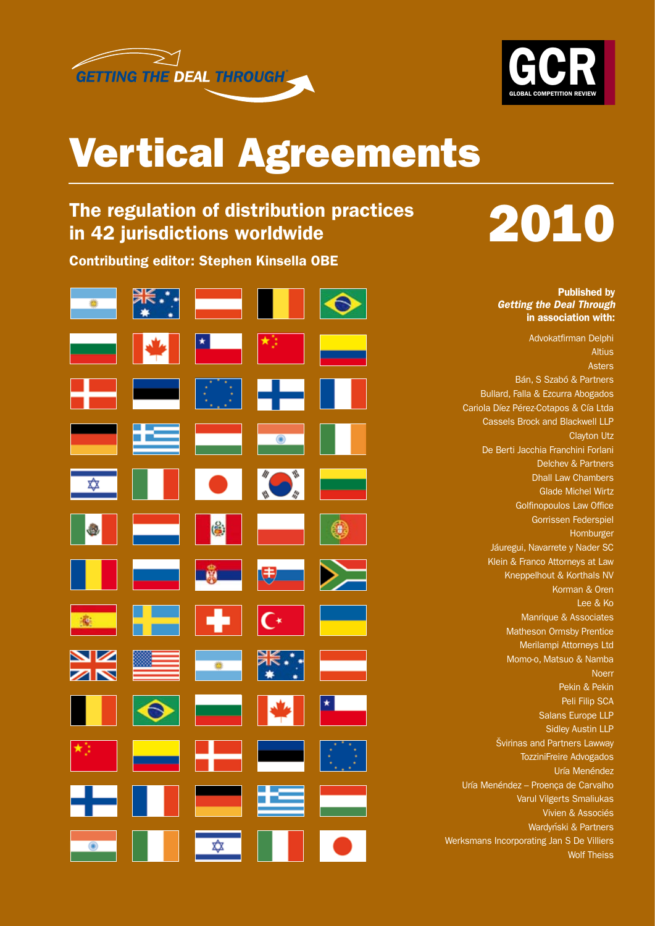



# Vertical Agreements

# The regulation of distribution practices in 42 jurisdictions worldwide

Contributing editor: Stephen Kinsella OBE



# 2010

Published by *Getting the Deal Through* in association with:

Advokatfirman Delphi **Altius** Asters Bán, S Szabó & Partners Bullard, Falla & Ezcurra Abogados Cariola Díez Pérez-Cotapos & Cía Ltda Cassels Brock and Blackwell LLP Clayton Utz De Berti Jacchia Franchini Forlani Delchev & Partners Dhall Law Chambers Glade Michel Wirtz Golfinopoulos Law Office Gorrissen Federspiel Homburger Jáuregui, Navarrete y Nader SC Klein & Franco Attorneys at Law Kneppelhout & Korthals NV Korman & Oren Lee & Ko Manrique & Associates Matheson Ormsby Prentice Merilampi Attorneys Ltd Momo-o, Matsuo & Namba Noerr Pekin & Pekin Peli Filip SCA Salans Europe LLP Sidley Austin LLP Švirinas and Partners Lawway TozziniFreire Advogados Uría Menéndez Uría Menéndez – Proença de Carvalho Varul Vilgerts Smaliukas Vivien & Associés Wardyński & Partners Werksmans Incorporating Jan S De Villiers Wolf Theiss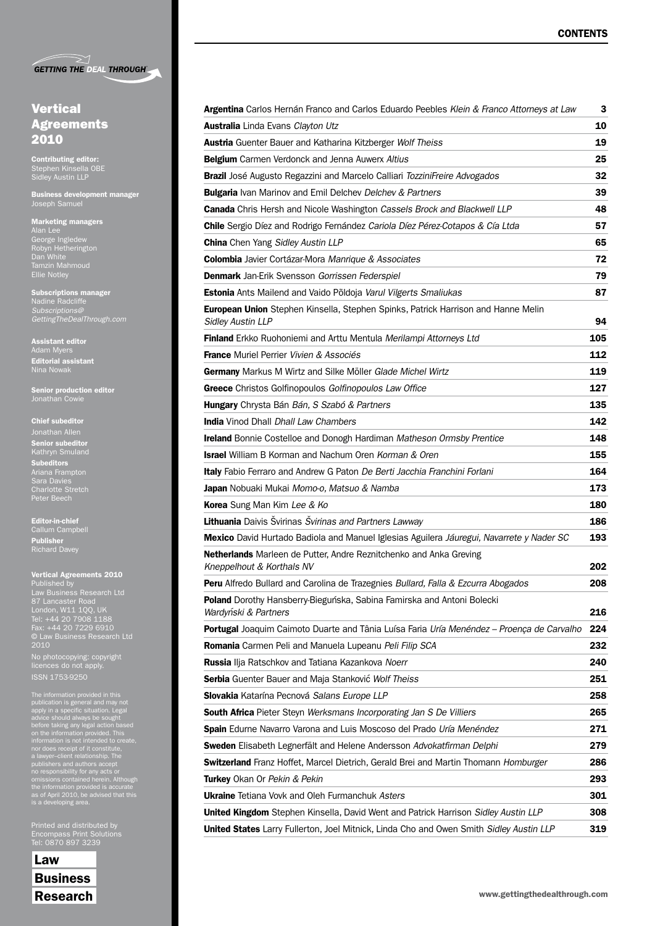| <b>GETTING THE DEAL THROUGH</b> |  |  |  |
|---------------------------------|--|--|--|
|                                 |  |  |  |

# **Vertical** Agreements 2010

Contributing editor: Sidley Austin LLP

Business development manager Joseph Samuel

Marketing managers George Ingledew Robyn Hetherington Dan White Ellie Notley

Subscriptions manager Nadine Radcliffe *GettingTheDealThrough.com*

Assistant editor Adam Myers Editorial assistant Nina Nowak

Senior production editor Jonathan Cowie

# Chief subeditor

Senior subeditor Subeditors Ariana Frampton Charlotte Stretch Peter Beech

Editor-in-chief Callum Campbell Publisher

ISSN 1753-9250

### Vertical Agreements 2010

Published by Law Business Research Ltd London, W11 1QQ, UK Tel: +44 20 7908 1188 Fax: +44 20 7229 6910 © Law Business Research Ltd 2010 No photocopying: copyright licences do not apply.

The information provided in this<br>publication is general and may not<br>paply in a specific situation. Legal<br>advice should always be sought<br>before taking any legal action based<br>on the information provided. This<br>information is

Printed and distributed by Tel: 0870 897 3239

Law Business

| Argentina Carlos Hernán Franco and Carlos Eduardo Peebles Klein & Franco Attorneys at Law                     | 3   |
|---------------------------------------------------------------------------------------------------------------|-----|
| <b>Australia</b> Linda Evans Clayton Utz                                                                      | 10  |
| Austria Guenter Bauer and Katharina Kitzberger Wolf Theiss                                                    | 19  |
| <b>Belgium</b> Carmen Verdonck and Jenna Auwerx Altius                                                        | 25  |
| Brazil José Augusto Regazzini and Marcelo Calliari TozziniFreire Advogados                                    | 32  |
| <b>Bulgaria</b> Ivan Marinov and Emil Delchev Delchev & Partners                                              | 39  |
| <b>Canada</b> Chris Hersh and Nicole Washington Cassels Brock and Blackwell LLP                               | 48  |
| <b>Chile</b> Sergio Díez and Rodrigo Fernández Cariola Díez Pérez-Cotapos & Cía Ltda                          | 57  |
| <b>China</b> Chen Yang Sidley Austin LLP                                                                      | 65  |
| <b>Colombia</b> Javier Cortázar-Mora Manrique & Associates                                                    | 72  |
| <b>Denmark</b> Jan-Erik Svensson <i>Gorrissen Federspiel</i>                                                  | 79  |
| Estonia Ants Mailend and Vaido Põldoja Varul Vilgerts Smaliukas                                               | 87  |
| European Union Stephen Kinsella, Stephen Spinks, Patrick Harrison and Hanne Melin<br><b>Sidley Austin LLP</b> | 94  |
| Finland Erkko Ruohoniemi and Arttu Mentula Merilampi Attorneys Ltd                                            | 105 |
| <b>France</b> Muriel Perrier Vivien & Associés                                                                | 112 |
| Germany Markus M Wirtz and Silke Möller Glade Michel Wirtz                                                    | 119 |
| Greece Christos Golfinopoulos Golfinopoulos Law Office                                                        | 127 |
| Hungary Chrysta Bán Bán, S Szabó & Partners                                                                   | 135 |
| <b>India</b> Vinod Dhall Dhall Law Chambers                                                                   | 142 |
| <b>Ireland</b> Bonnie Costelloe and Donogh Hardiman Matheson Ormsby Prentice                                  | 148 |
| <b>Israel</b> William B Korman and Nachum Oren Korman & Oren                                                  | 155 |
| Italy Fabio Ferraro and Andrew G Paton De Berti Jacchia Franchini Forlani                                     | 164 |
| Japan Nobuaki Mukai Momo-o, Matsuo & Namba                                                                    | 173 |
| Korea Sung Man Kim Lee & Ko                                                                                   | 180 |
| Lithuania Daivis Švirinas Švirinas and Partners Lawway                                                        | 186 |
| Mexico David Hurtado Badiola and Manuel Iglesias Aguilera Jáuregui, Navarrete y Nader SC                      | 193 |
| Netherlands Marleen de Putter, Andre Reznitchenko and Anka Greving<br>Kneppelhout & Korthals NV               | 202 |
| Peru Alfredo Bullard and Carolina de Trazegnies Bullard, Falla & Ezcurra Abogados                             | 208 |
| Poland Dorothy Hansberry-Bieguńska, Sabina Famirska and Antoni Bolecki<br>Wardyński & Partners                | 216 |
| <b>Portugal</b> Joaquim Caimoto Duarte and Tânia Luísa Faria Uría Menéndez – Proença de Carvalho              | 224 |
| Romania Carmen Peli and Manuela Lupeanu Peli Filip SCA                                                        | 232 |
| Russia Ilja Ratschkov and Tatiana Kazankova Noerr                                                             | 240 |
| Serbia Guenter Bauer and Maja Stanković Wolf Theiss                                                           | 251 |
| Slovakia Katarína Pecnová Salans Europe LLP                                                                   | 258 |
| South Africa Pieter Steyn Werksmans Incorporating Jan S De Villiers                                           | 265 |
| Spain Edurne Navarro Varona and Luis Moscoso del Prado Uría Menéndez                                          | 271 |
| Sweden Elisabeth Legnerfält and Helene Andersson Advokatfirman Delphi                                         | 279 |
| Switzerland Franz Hoffet, Marcel Dietrich, Gerald Brei and Martin Thomann Homburger                           | 286 |
| <b>Turkey</b> Okan Or Pekin & Pekin                                                                           | 293 |
| <b>Ukraine</b> Tetiana Vovk and Oleh Furmanchuk Asters                                                        | 301 |
| <b>United Kingdom</b> Stephen Kinsella, David Went and Patrick Harrison Sidley Austin LLP                     | 308 |
| <b>United States</b> Larry Fullerton, Joel Mitnick, Linda Cho and Owen Smith Sidley Austin LLP                | 319 |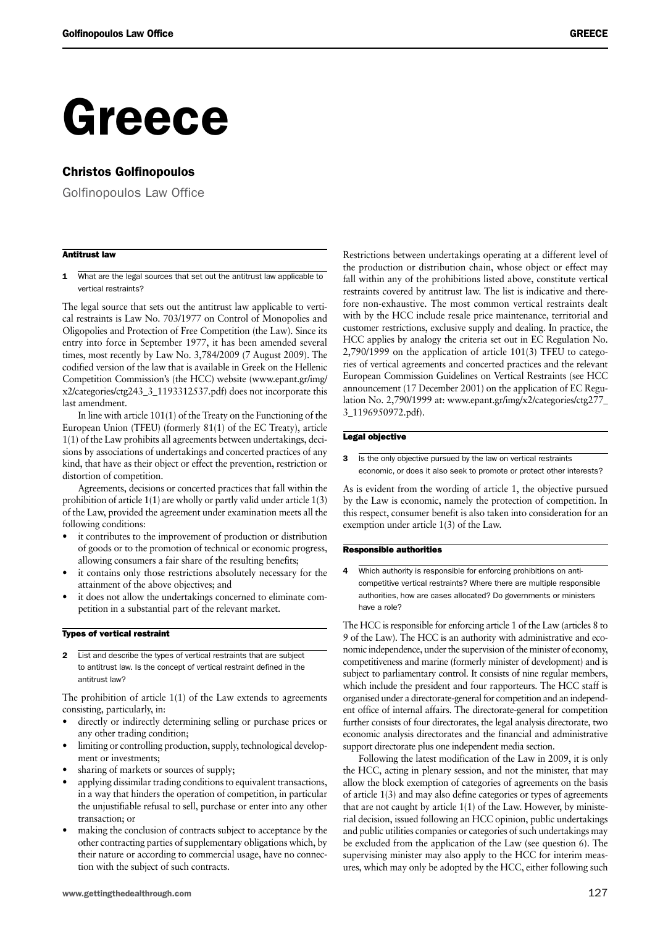# Greece

# Christos Golfinopoulos

Golfinopoulos Law Office

# Antitrust law

1 What are the legal sources that set out the antitrust law applicable to vertical restraints?

The legal source that sets out the antitrust law applicable to vertical restraints is Law No. 703/1977 on Control of Monopolies and Oligopolies and Protection of Free Competition (the Law). Since its entry into force in September 1977, it has been amended several times, most recently by Law No. 3,784/2009 (7 August 2009). The codified version of the law that is available in Greek on the Hellenic Competition Commission's (the HCC) website (www.epant.gr/img/ x2/categories/ctg243\_3\_1193312537.pdf) does not incorporate this last amendment.

In line with article 101(1) of the Treaty on the Functioning of the European Union (TFEU) (formerly 81(1) of the EC Treaty), article 1(1) of the Law prohibits all agreements between undertakings, decisions by associations of undertakings and concerted practices of any kind, that have as their object or effect the prevention, restriction or distortion of competition.

Agreements, decisions or concerted practices that fall within the prohibition of article 1(1) are wholly or partly valid under article 1(3) of the Law, provided the agreement under examination meets all the following conditions:

- it contributes to the improvement of production or distribution of goods or to the promotion of technical or economic progress, allowing consumers a fair share of the resulting benefits;
- it contains only those restrictions absolutely necessary for the attainment of the above objectives; and
- it does not allow the undertakings concerned to eliminate competition in a substantial part of the relevant market.

# Types of vertical restraint

2 List and describe the types of vertical restraints that are subject to antitrust law. Is the concept of vertical restraint defined in the antitrust law?

The prohibition of article 1(1) of the Law extends to agreements consisting, particularly, in:

- directly or indirectly determining selling or purchase prices or any other trading condition;
- limiting or controlling production, supply, technological development or investments;
- sharing of markets or sources of supply;
- applying dissimilar trading conditions to equivalent transactions, in a way that hinders the operation of competition, in particular the unjustifiable refusal to sell, purchase or enter into any other transaction; or
- making the conclusion of contracts subject to acceptance by the other contracting parties of supplementary obligations which, by their nature or according to commercial usage, have no connection with the subject of such contracts.

Restrictions between undertakings operating at a different level of the production or distribution chain, whose object or effect may fall within any of the prohibitions listed above, constitute vertical restraints covered by antitrust law. The list is indicative and therefore non-exhaustive. The most common vertical restraints dealt with by the HCC include resale price maintenance, territorial and customer restrictions, exclusive supply and dealing. In practice, the HCC applies by analogy the criteria set out in EC Regulation No. 2,790/1999 on the application of article 101(3) TFEU to categories of vertical agreements and concerted practices and the relevant European Commission Guidelines on Vertical Restraints (see HCC announcement (17 December 2001) on the application of EC Regulation No. 2,790/1999 at: www.epant.gr/img/x2/categories/ctg277\_ 3\_1196950972.pdf).

# Legal objective

3 Is the only objective pursued by the law on vertical restraints economic, or does it also seek to promote or protect other interests?

As is evident from the wording of article 1, the objective pursued by the Law is economic, namely the protection of competition. In this respect, consumer benefit is also taken into consideration for an exemption under article 1(3) of the Law.

# Responsible authorities

Which authority is responsible for enforcing prohibitions on anticompetitive vertical restraints? Where there are multiple responsible authorities, how are cases allocated? Do governments or ministers have a role?

The HCC is responsible for enforcing article 1 of the Law (articles 8 to 9 of the Law). The HCC is an authority with administrative and economic independence, under the supervision of the minister of economy, competitiveness and marine (formerly minister of development) and is subject to parliamentary control. It consists of nine regular members, which include the president and four rapporteurs. The HCC staff is organised under a directorate-general for competition and an independent office of internal affairs. The directorate-general for competition further consists of four directorates, the legal analysis directorate, two economic analysis directorates and the financial and administrative support directorate plus one independent media section.

Following the latest modification of the Law in 2009, it is only the HCC, acting in plenary session, and not the minister, that may allow the block exemption of categories of agreements on the basis of article 1(3) and may also define categories or types of agreements that are not caught by article 1(1) of the Law. However, by ministerial decision, issued following an HCC opinion, public undertakings and public utilities companies or categories of such undertakings may be excluded from the application of the Law (see question 6). The supervising minister may also apply to the HCC for interim measures, which may only be adopted by the HCC, either following such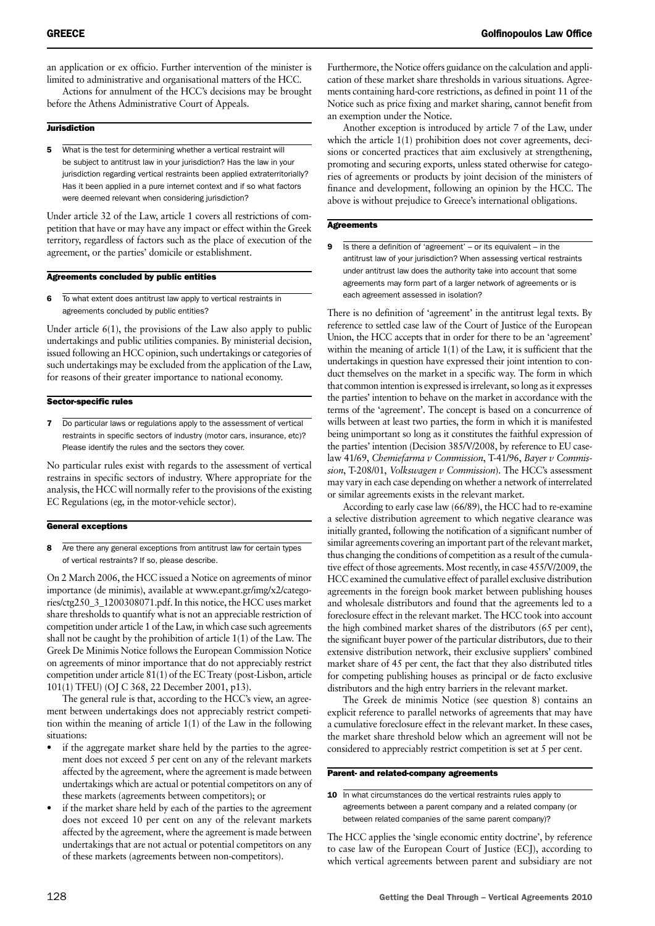an application or ex officio. Further intervention of the minister is limited to administrative and organisational matters of the HCC.

Actions for annulment of the HCC's decisions may be brought before the Athens Administrative Court of Appeals.

# **Jurisdiction**

5 What is the test for determining whether a vertical restraint will be subject to antitrust law in your jurisdiction? Has the law in your jurisdiction regarding vertical restraints been applied extraterritorially? Has it been applied in a pure internet context and if so what factors were deemed relevant when considering jurisdiction?

Under article 32 of the Law, article 1 covers all restrictions of competition that have or may have any impact or effect within the Greek territory, regardless of factors such as the place of execution of the agreement, or the parties' domicile or establishment.

# Agreements concluded by public entities

6 To what extent does antitrust law apply to vertical restraints in agreements concluded by public entities?

Under article 6(1), the provisions of the Law also apply to public undertakings and public utilities companies. By ministerial decision, issued following an HCC opinion, such undertakings or categories of such undertakings may be excluded from the application of the Law, for reasons of their greater importance to national economy.

# Sector-specific rules

7 Do particular laws or regulations apply to the assessment of vertical restraints in specific sectors of industry (motor cars, insurance, etc)? Please identify the rules and the sectors they cover.

No particular rules exist with regards to the assessment of vertical restrains in specific sectors of industry. Where appropriate for the analysis, the HCC will normally refer to the provisions of the existing EC Regulations (eg, in the motor-vehicle sector).

# General exceptions

8 Are there any general exceptions from antitrust law for certain types of vertical restraints? If so, please describe.

On 2 March 2006, the HCC issued a Notice on agreements of minor importance (de minimis), available at www.epant.gr/img/x2/categories/ctg250\_3\_1200308071.pdf. In this notice, the HCC uses market share thresholds to quantify what is not an appreciable restriction of competition under article 1 of the Law, in which case such agreements shall not be caught by the prohibition of article 1(1) of the Law. The Greek De Minimis Notice follows the European Commission Notice on agreements of minor importance that do not appreciably restrict competition under article 81(1) of the EC Treaty (post-Lisbon, article 101(1) TFEU) (OJ C 368, 22 December 2001, p13).

The general rule is that, according to the HCC's view, an agreement between undertakings does not appreciably restrict competition within the meaning of article 1(1) of the Law in the following situations:

- if the aggregate market share held by the parties to the agreement does not exceed 5 per cent on any of the relevant markets affected by the agreement, where the agreement is made between undertakings which are actual or potential competitors on any of these markets (agreements between competitors); or
- if the market share held by each of the parties to the agreement does not exceed 10 per cent on any of the relevant markets affected by the agreement, where the agreement is made between undertakings that are not actual or potential competitors on any of these markets (agreements between non-competitors).

Furthermore, the Notice offers guidance on the calculation and application of these market share thresholds in various situations. Agreements containing hard-core restrictions, as defined in point 11 of the Notice such as price fixing and market sharing, cannot benefit from an exemption under the Notice.

Another exception is introduced by article 7 of the Law, under which the article 1(1) prohibition does not cover agreements, decisions or concerted practices that aim exclusively at strengthening, promoting and securing exports, unless stated otherwise for categories of agreements or products by joint decision of the ministers of finance and development, following an opinion by the HCC. The above is without prejudice to Greece's international obligations.

# **Agreements**

**9** Is there a definition of 'agreement' – or its equivalent – in the antitrust law of your jurisdiction? When assessing vertical restraints under antitrust law does the authority take into account that some agreements may form part of a larger network of agreements or is each agreement assessed in isolation?

There is no definition of 'agreement' in the antitrust legal texts. By reference to settled case law of the Court of Justice of the European Union, the HCC accepts that in order for there to be an 'agreement' within the meaning of article 1(1) of the Law, it is sufficient that the undertakings in question have expressed their joint intention to conduct themselves on the market in a specific way. The form in which that common intention is expressed is irrelevant, so long as it expresses the parties' intention to behave on the market in accordance with the terms of the 'agreement'. The concept is based on a concurrence of wills between at least two parties, the form in which it is manifested being unimportant so long as it constitutes the faithful expression of the parties' intention (Decision 385/V/2008, by reference to EU caselaw 41/69, *Chemiefarma v Commission*, T-41/96, *Bayer v Commission*, T-208/01, *Volkswagen v Commission*). The HCC's assessment may vary in each case depending on whether a network of interrelated or similar agreements exists in the relevant market.

According to early case law (66/89), the HCC had to re-examine a selective distribution agreement to which negative clearance was initially granted, following the notification of a significant number of similar agreements covering an important part of the relevant market, thus changing the conditions of competition as a result of the cumulative effect of those agreements. Most recently, in case 455/V/2009, the HCC examined the cumulative effect of parallel exclusive distribution agreements in the foreign book market between publishing houses and wholesale distributors and found that the agreements led to a foreclosure effect in the relevant market. The HCC took into account the high combined market shares of the distributors (65 per cent), the significant buyer power of the particular distributors, due to their extensive distribution network, their exclusive suppliers' combined market share of 45 per cent, the fact that they also distributed titles for competing publishing houses as principal or de facto exclusive distributors and the high entry barriers in the relevant market.

The Greek de minimis Notice (see question 8) contains an explicit reference to parallel networks of agreements that may have a cumulative foreclosure effect in the relevant market. In these cases, the market share threshold below which an agreement will not be considered to appreciably restrict competition is set at 5 per cent.

# Parent- and related-company agreements

10 In what circumstances do the vertical restraints rules apply to agreements between a parent company and a related company (or between related companies of the same parent company)?

The HCC applies the 'single economic entity doctrine', by reference to case law of the European Court of Justice (ECJ), according to which vertical agreements between parent and subsidiary are not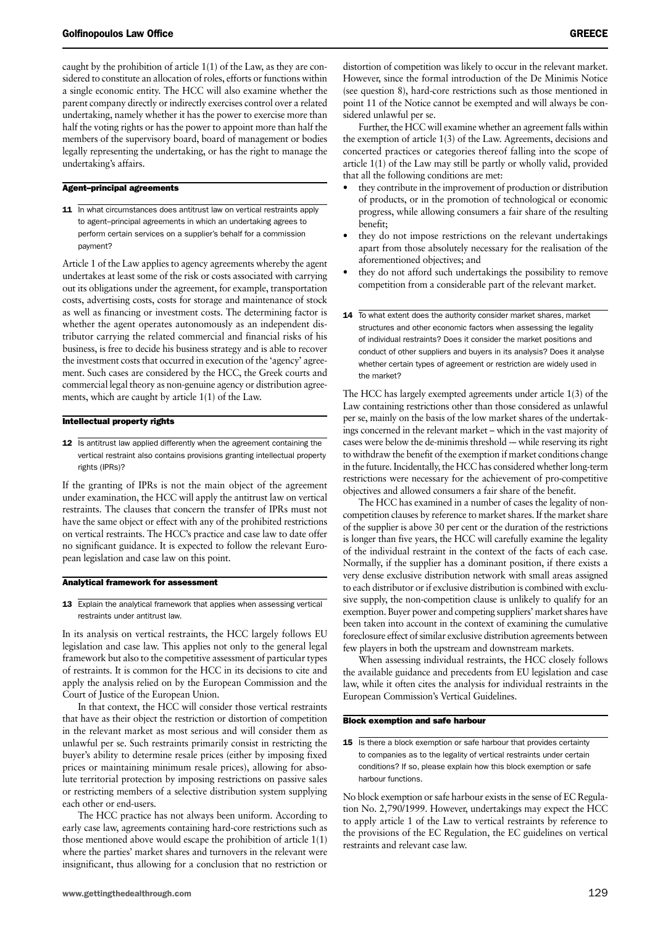caught by the prohibition of article 1(1) of the Law, as they are considered to constitute an allocation of roles, efforts or functions within a single economic entity. The HCC will also examine whether the parent company directly or indirectly exercises control over a related undertaking, namely whether it has the power to exercise more than half the voting rights or has the power to appoint more than half the members of the supervisory board, board of management or bodies legally representing the undertaking, or has the right to manage the undertaking's affairs.

# Agent–principal agreements

11 In what circumstances does antitrust law on vertical restraints apply to agent–principal agreements in which an undertaking agrees to perform certain services on a supplier's behalf for a commission payment?

Article 1 of the Law applies to agency agreements whereby the agent undertakes at least some of the risk or costs associated with carrying out its obligations under the agreement, for example, transportation costs, advertising costs, costs for storage and maintenance of stock as well as financing or investment costs. The determining factor is whether the agent operates autonomously as an independent distributor carrying the related commercial and financial risks of his business, is free to decide his business strategy and is able to recover the investment costs that occurred in execution of the 'agency' agreement. Such cases are considered by the HCC, the Greek courts and commercial legal theory as non-genuine agency or distribution agreements, which are caught by article 1(1) of the Law.

### Intellectual property rights

12 Is antitrust law applied differently when the agreement containing the vertical restraint also contains provisions granting intellectual property rights (IPRs)?

If the granting of IPRs is not the main object of the agreement under examination, the HCC will apply the antitrust law on vertical restraints. The clauses that concern the transfer of IPRs must not have the same object or effect with any of the prohibited restrictions on vertical restraints. The HCC's practice and case law to date offer no significant guidance. It is expected to follow the relevant European legislation and case law on this point.

### Analytical framework for assessment

13 Explain the analytical framework that applies when assessing vertical restraints under antitrust law.

In its analysis on vertical restraints, the HCC largely follows EU legislation and case law. This applies not only to the general legal framework but also to the competitive assessment of particular types of restraints. It is common for the HCC in its decisions to cite and apply the analysis relied on by the European Commission and the Court of Justice of the European Union.

In that context, the HCC will consider those vertical restraints that have as their object the restriction or distortion of competition in the relevant market as most serious and will consider them as unlawful per se. Such restraints primarily consist in restricting the buyer's ability to determine resale prices (either by imposing fixed prices or maintaining minimum resale prices), allowing for absolute territorial protection by imposing restrictions on passive sales or restricting members of a selective distribution system supplying each other or end-users.

The HCC practice has not always been uniform. According to early case law, agreements containing hard-core restrictions such as those mentioned above would escape the prohibition of article 1(1) where the parties' market shares and turnovers in the relevant were insignificant, thus allowing for a conclusion that no restriction or distortion of competition was likely to occur in the relevant market. However, since the formal introduction of the De Minimis Notice (see question 8), hard-core restrictions such as those mentioned in point 11 of the Notice cannot be exempted and will always be considered unlawful per se.

Further, the HCC will examine whether an agreement falls within the exemption of article 1(3) of the Law. Agreements, decisions and concerted practices or categories thereof falling into the scope of article 1(1) of the Law may still be partly or wholly valid, provided that all the following conditions are met:

- they contribute in the improvement of production or distribution of products, or in the promotion of technological or economic progress, while allowing consumers a fair share of the resulting benefit;
- they do not impose restrictions on the relevant undertakings apart from those absolutely necessary for the realisation of the aforementioned objectives; and
- they do not afford such undertakings the possibility to remove competition from a considerable part of the relevant market.
- 14 To what extent does the authority consider market shares, market structures and other economic factors when assessing the legality of individual restraints? Does it consider the market positions and conduct of other suppliers and buyers in its analysis? Does it analyse whether certain types of agreement or restriction are widely used in the market?

The HCC has largely exempted agreements under article 1(3) of the Law containing restrictions other than those considered as unlawful per se, mainly on the basis of the low market shares of the undertakings concerned in the relevant market – which in the vast majority of cases were below the de-minimis threshold -– while reserving its right to withdraw the benefit of the exemption if market conditions change in the future. Incidentally, the HCC has considered whether long-term restrictions were necessary for the achievement of pro-competitive objectives and allowed consumers a fair share of the benefit.

The HCC has examined in a number of cases the legality of noncompetition clauses by reference to market shares. If the market share of the supplier is above 30 per cent or the duration of the restrictions is longer than five years, the HCC will carefully examine the legality of the individual restraint in the context of the facts of each case. Normally, if the supplier has a dominant position, if there exists a very dense exclusive distribution network with small areas assigned to each distributor or if exclusive distribution is combined with exclusive supply, the non-competition clause is unlikely to qualify for an exemption. Buyer power and competing suppliers' market shares have been taken into account in the context of examining the cumulative foreclosure effect of similar exclusive distribution agreements between few players in both the upstream and downstream markets.

When assessing individual restraints, the HCC closely follows the available guidance and precedents from EU legislation and case law, while it often cites the analysis for individual restraints in the European Commission's Vertical Guidelines.

## Block exemption and safe harbour

15 Is there a block exemption or safe harbour that provides certainty to companies as to the legality of vertical restraints under certain conditions? If so, please explain how this block exemption or safe harbour functions.

No block exemption or safe harbour exists in the sense of EC Regulation No. 2,790/1999. However, undertakings may expect the HCC to apply article 1 of the Law to vertical restraints by reference to the provisions of the EC Regulation, the EC guidelines on vertical restraints and relevant case law.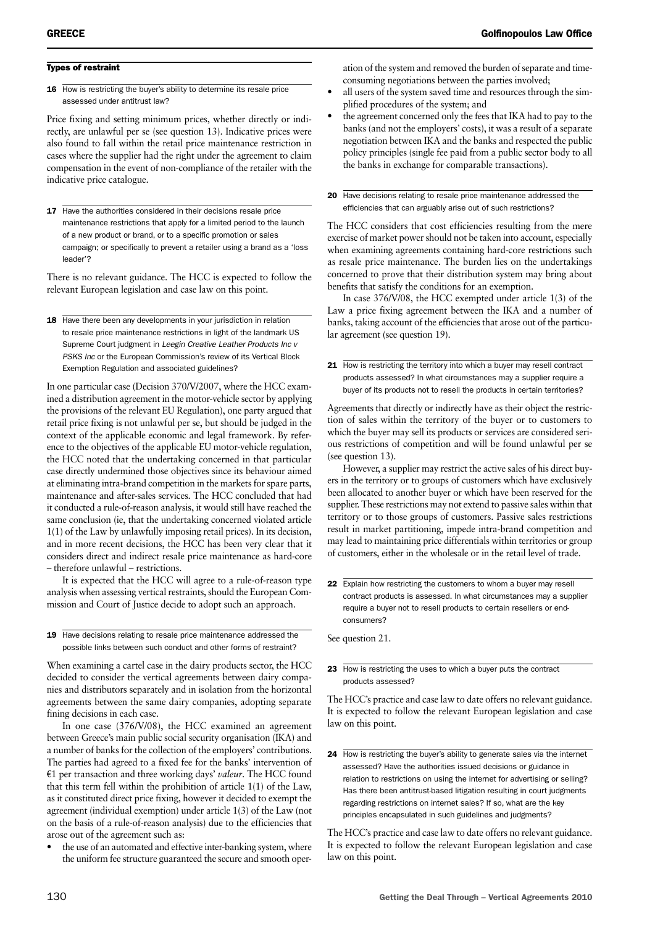# Types of restraint

16 How is restricting the buyer's ability to determine its resale price assessed under antitrust law?

Price fixing and setting minimum prices, whether directly or indirectly, are unlawful per se (see question 13). Indicative prices were also found to fall within the retail price maintenance restriction in cases where the supplier had the right under the agreement to claim compensation in the event of non-compliance of the retailer with the indicative price catalogue.

17 Have the authorities considered in their decisions resale price maintenance restrictions that apply for a limited period to the launch of a new product or brand, or to a specific promotion or sales campaign; or specifically to prevent a retailer using a brand as a 'loss leader'?

There is no relevant guidance. The HCC is expected to follow the relevant European legislation and case law on this point.

18 Have there been any developments in your jurisdiction in relation to resale price maintenance restrictions in light of the landmark US Supreme Court judgment in *Leegin Creative Leather Products Inc v PSKS Inc* or the European Commission's review of its Vertical Block Exemption Regulation and associated guidelines?

In one particular case (Decision 370/V/2007, where the HCC examined a distribution agreement in the motor-vehicle sector by applying the provisions of the relevant EU Regulation), one party argued that retail price fixing is not unlawful per se, but should be judged in the context of the applicable economic and legal framework. By reference to the objectives of the applicable EU motor-vehicle regulation, the HCC noted that the undertaking concerned in that particular case directly undermined those objectives since its behaviour aimed at eliminating intra-brand competition in the markets for spare parts, maintenance and after-sales services. The HCC concluded that had it conducted a rule-of-reason analysis, it would still have reached the same conclusion (ie, that the undertaking concerned violated article 1(1) of the Law by unlawfully imposing retail prices). In its decision, and in more recent decisions, the HCC has been very clear that it considers direct and indirect resale price maintenance as hard-core – therefore unlawful – restrictions.

It is expected that the HCC will agree to a rule-of-reason type analysis when assessing vertical restraints, should the European Commission and Court of Justice decide to adopt such an approach.

# 19 Have decisions relating to resale price maintenance addressed the possible links between such conduct and other forms of restraint?

When examining a cartel case in the dairy products sector, the HCC decided to consider the vertical agreements between dairy companies and distributors separately and in isolation from the horizontal agreements between the same dairy companies, adopting separate fining decisions in each case.

In one case (376/V/08), the HCC examined an agreement between Greece's main public social security organisation (IKA) and a number of banks for the collection of the employers' contributions. The parties had agreed to a fixed fee for the banks' intervention of  $E1$  per transaction and three working days' *valeur*. The HCC found that this term fell within the prohibition of article 1(1) of the Law, as it constituted direct price fixing, however it decided to exempt the agreement (individual exemption) under article 1(3) of the Law (not on the basis of a rule-of-reason analysis) due to the efficiencies that arose out of the agreement such as:

the use of an automated and effective inter-banking system, where the uniform fee structure guaranteed the secure and smooth operation of the system and removed the burden of separate and timeconsuming negotiations between the parties involved;

- all users of the system saved time and resources through the simplified procedures of the system; and
- the agreement concerned only the fees that IKA had to pay to the banks (and not the employers' costs), it was a result of a separate negotiation between IKA and the banks and respected the public policy principles (single fee paid from a public sector body to all the banks in exchange for comparable transactions).

20 Have decisions relating to resale price maintenance addressed the efficiencies that can arguably arise out of such restrictions?

The HCC considers that cost efficiencies resulting from the mere exercise of market power should not be taken into account, especially when examining agreements containing hard-core restrictions such as resale price maintenance. The burden lies on the undertakings concerned to prove that their distribution system may bring about benefits that satisfy the conditions for an exemption.

In case 376/V/08, the HCC exempted under article 1(3) of the Law a price fixing agreement between the IKA and a number of banks, taking account of the efficiencies that arose out of the particular agreement (see question 19).

21 How is restricting the territory into which a buyer may resell contract products assessed? In what circumstances may a supplier require a buyer of its products not to resell the products in certain territories?

Agreements that directly or indirectly have as their object the restriction of sales within the territory of the buyer or to customers to which the buyer may sell its products or services are considered serious restrictions of competition and will be found unlawful per se (see question 13).

However, a supplier may restrict the active sales of his direct buyers in the territory or to groups of customers which have exclusively been allocated to another buyer or which have been reserved for the supplier. These restrictions may not extend to passive sales within that territory or to those groups of customers. Passive sales restrictions result in market partitioning, impede intra-brand competition and may lead to maintaining price differentials within territories or group of customers, either in the wholesale or in the retail level of trade.

22 Explain how restricting the customers to whom a buyer may resell contract products is assessed. In what circumstances may a supplier require a buyer not to resell products to certain resellers or endconsumers?

See question 21.

23 How is restricting the uses to which a buyer puts the contract products assessed?

The HCC's practice and case law to date offers no relevant guidance. It is expected to follow the relevant European legislation and case law on this point.

24 How is restricting the buyer's ability to generate sales via the internet assessed? Have the authorities issued decisions or guidance in relation to restrictions on using the internet for advertising or selling? Has there been antitrust-based litigation resulting in court judgments regarding restrictions on internet sales? If so, what are the key principles encapsulated in such guidelines and judgments?

The HCC's practice and case law to date offers no relevant guidance. It is expected to follow the relevant European legislation and case law on this point.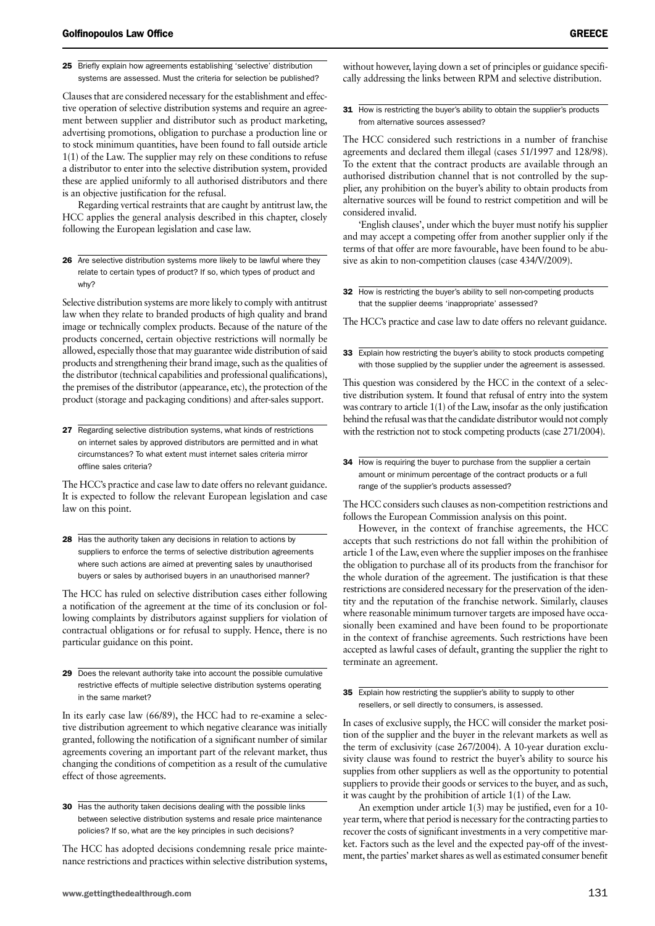25 Briefly explain how agreements establishing 'selective' distribution systems are assessed. Must the criteria for selection be published?

Clauses that are considered necessary for the establishment and effective operation of selective distribution systems and require an agreement between supplier and distributor such as product marketing, advertising promotions, obligation to purchase a production line or to stock minimum quantities, have been found to fall outside article 1(1) of the Law. The supplier may rely on these conditions to refuse a distributor to enter into the selective distribution system, provided these are applied uniformly to all authorised distributors and there is an objective justification for the refusal.

Regarding vertical restraints that are caught by antitrust law, the HCC applies the general analysis described in this chapter, closely following the European legislation and case law.

26 Are selective distribution systems more likely to be lawful where they relate to certain types of product? If so, which types of product and why?

Selective distribution systems are more likely to comply with antitrust law when they relate to branded products of high quality and brand image or technically complex products. Because of the nature of the products concerned, certain objective restrictions will normally be allowed, especially those that may guarantee wide distribution of said products and strengthening their brand image, such as the qualities of the distributor (technical capabilities and professional qualifications), the premises of the distributor (appearance, etc), the protection of the product (storage and packaging conditions) and after-sales support.

27 Regarding selective distribution systems, what kinds of restrictions on internet sales by approved distributors are permitted and in what circumstances? To what extent must internet sales criteria mirror offline sales criteria?

The HCC's practice and case law to date offers no relevant guidance. It is expected to follow the relevant European legislation and case law on this point.

28 Has the authority taken any decisions in relation to actions by suppliers to enforce the terms of selective distribution agreements where such actions are aimed at preventing sales by unauthorised buyers or sales by authorised buyers in an unauthorised manner?

The HCC has ruled on selective distribution cases either following a notification of the agreement at the time of its conclusion or following complaints by distributors against suppliers for violation of contractual obligations or for refusal to supply. Hence, there is no particular guidance on this point.

29 Does the relevant authority take into account the possible cumulative restrictive effects of multiple selective distribution systems operating in the same market?

In its early case law (66/89), the HCC had to re-examine a selective distribution agreement to which negative clearance was initially granted, following the notification of a significant number of similar agreements covering an important part of the relevant market, thus changing the conditions of competition as a result of the cumulative effect of those agreements.

The HCC has adopted decisions condemning resale price maintenance restrictions and practices within selective distribution systems, without however, laying down a set of principles or guidance specifically addressing the links between RPM and selective distribution.

31 How is restricting the buyer's ability to obtain the supplier's products from alternative sources assessed?

The HCC considered such restrictions in a number of franchise agreements and declared them illegal (cases 51/1997 and 128/98). To the extent that the contract products are available through an authorised distribution channel that is not controlled by the supplier, any prohibition on the buyer's ability to obtain products from alternative sources will be found to restrict competition and will be considered invalid.

'English clauses', under which the buyer must notify his supplier and may accept a competing offer from another supplier only if the terms of that offer are more favourable, have been found to be abusive as akin to non-competition clauses (case 434/V/2009).

32 How is restricting the buyer's ability to sell non-competing products that the supplier deems 'inappropriate' assessed?

The HCC's practice and case law to date offers no relevant guidance.

33 Explain how restricting the buyer's ability to stock products competing with those supplied by the supplier under the agreement is assessed.

This question was considered by the HCC in the context of a selective distribution system. It found that refusal of entry into the system was contrary to article 1(1) of the Law, insofar as the only justification behind the refusal was that the candidate distributor would not comply with the restriction not to stock competing products (case 271/2004).

34 How is requiring the buyer to purchase from the supplier a certain amount or minimum percentage of the contract products or a full range of the supplier's products assessed?

The HCC considers such clauses as non-competition restrictions and follows the European Commission analysis on this point.

However, in the context of franchise agreements, the HCC accepts that such restrictions do not fall within the prohibition of article 1 of the Law, even where the supplier imposes on the franhisee the obligation to purchase all of its products from the franchisor for the whole duration of the agreement. The justification is that these restrictions are considered necessary for the preservation of the identity and the reputation of the franchise network. Similarly, clauses where reasonable minimum turnover targets are imposed have occasionally been examined and have been found to be proportionate in the context of franchise agreements. Such restrictions have been accepted as lawful cases of default, granting the supplier the right to terminate an agreement.

35 Explain how restricting the supplier's ability to supply to other resellers, or sell directly to consumers, is assessed.

In cases of exclusive supply, the HCC will consider the market position of the supplier and the buyer in the relevant markets as well as the term of exclusivity (case 267/2004). A 10-year duration exclusivity clause was found to restrict the buyer's ability to source his supplies from other suppliers as well as the opportunity to potential suppliers to provide their goods or services to the buyer, and as such, it was caught by the prohibition of article 1(1) of the Law.

An exemption under article 1(3) may be justified, even for a 10 year term, where that period is necessary for the contracting parties to recover the costs of significant investments in a very competitive market. Factors such as the level and the expected pay-off of the investment, the parties' market shares as well as estimated consumer benefit

<sup>30</sup> Has the authority taken decisions dealing with the possible links between selective distribution systems and resale price maintenance policies? If so, what are the key principles in such decisions?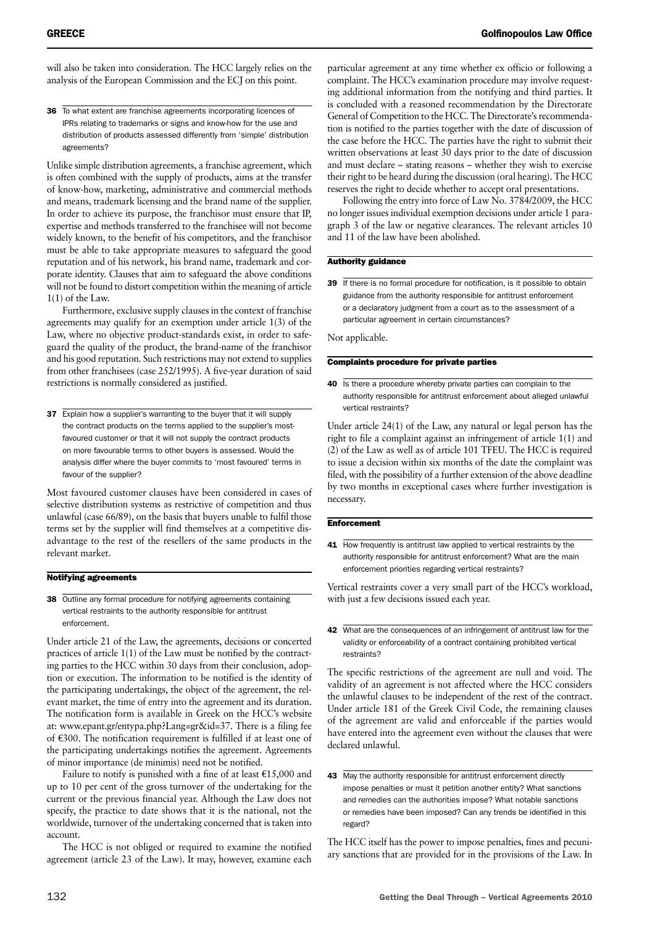will also be taken into consideration. The HCC largely relies on the analysis of the European Commission and the ECJ on this point.

36 To what extent are franchise agreements incorporating licences of IPRs relating to trademarks or signs and know-how for the use and distribution of products assessed differently from 'simple' distribution agreements?

Unlike simple distribution agreements, a franchise agreement, which is often combined with the supply of products, aims at the transfer of know-how, marketing, administrative and commercial methods and means, trademark licensing and the brand name of the supplier. In order to achieve its purpose, the franchisor must ensure that IP, expertise and methods transferred to the franchisee will not become widely known, to the benefit of his competitors, and the franchisor must be able to take appropriate measures to safeguard the good reputation and of his network, his brand name, trademark and corporate identity. Clauses that aim to safeguard the above conditions will not be found to distort competition within the meaning of article 1(1) of the Law.

Furthermore, exclusive supply clauses in the context of franchise agreements may qualify for an exemption under article 1(3) of the Law, where no objective product-standards exist, in order to safeguard the quality of the product, the brand-name of the franchisor and his good reputation. Such restrictions may not extend to supplies from other franchisees (case 252/1995). A five-year duration of said restrictions is normally considered as justified.

37 Explain how a supplier's warranting to the buyer that it will supply the contract products on the terms applied to the supplier's mostfavoured customer or that it will not supply the contract products on more favourable terms to other buyers is assessed. Would the analysis differ where the buyer commits to 'most favoured' terms in favour of the supplier?

Most favoured customer clauses have been considered in cases of selective distribution systems as restrictive of competition and thus unlawful (case 66/89), on the basis that buyers unable to fulfil those terms set by the supplier will find themselves at a competitive disadvantage to the rest of the resellers of the same products in the relevant market.

# Notifying agreements

38 Outline any formal procedure for notifying agreements containing vertical restraints to the authority responsible for antitrust enforcement.

Under article 21 of the Law, the agreements, decisions or concerted practices of article 1(1) of the Law must be notified by the contracting parties to the HCC within 30 days from their conclusion, adoption or execution. The information to be notified is the identity of the participating undertakings, the object of the agreement, the relevant market, the time of entry into the agreement and its duration. The notification form is available in Greek on the HCC's website at: www.epant.gr/entypa.php?Lang=gr&id=37. There is a filing fee of e300. The notification requirement is fulfilled if at least one of the participating undertakings notifies the agreement. Agreements of minor importance (de minimis) need not be notified.

Failure to notify is punished with a fine of at least  $£15,000$  and up to 10 per cent of the gross turnover of the undertaking for the current or the previous financial year. Although the Law does not specify, the practice to date shows that it is the national, not the worldwide, turnover of the undertaking concerned that is taken into account.

The HCC is not obliged or required to examine the notified agreement (article 23 of the Law). It may, however, examine each

particular agreement at any time whether ex officio or following a complaint. The HCC's examination procedure may involve requesting additional information from the notifying and third parties. It is concluded with a reasoned recommendation by the Directorate General of Competition to the HCC. The Directorate's recommendation is notified to the parties together with the date of discussion of the case before the HCC. The parties have the right to submit their written observations at least 30 days prior to the date of discussion and must declare – stating reasons – whether they wish to exercise their right to be heard during the discussion (oral hearing). The HCC reserves the right to decide whether to accept oral presentations.

Following the entry into force of Law No. 3784/2009, the HCC no longer issues individual exemption decisions under article 1 paragraph 3 of the law or negative clearances. The relevant articles 10 and 11 of the law have been abolished.

# Authority guidance

39 If there is no formal procedure for notification, is it possible to obtain guidance from the authority responsible for antitrust enforcement or a declaratory judgment from a court as to the assessment of a particular agreement in certain circumstances?

Not applicable.

# Complaints procedure for private parties

40 Is there a procedure whereby private parties can complain to the authority responsible for antitrust enforcement about alleged unlawful vertical restraints?

Under article 24(1) of the Law, any natural or legal person has the right to file a complaint against an infringement of article 1(1) and (2) of the Law as well as of article 101 TFEU. The HCC is required to issue a decision within six months of the date the complaint was filed, with the possibility of a further extension of the above deadline by two months in exceptional cases where further investigation is necessary.

# **Enforcement**

41 How frequently is antitrust law applied to vertical restraints by the authority responsible for antitrust enforcement? What are the main enforcement priorities regarding vertical restraints?

Vertical restraints cover a very small part of the HCC's workload, with just a few decisions issued each year.

42 What are the consequences of an infringement of antitrust law for the validity or enforceability of a contract containing prohibited vertical restraints?

The specific restrictions of the agreement are null and void. The validity of an agreement is not affected where the HCC considers the unlawful clauses to be independent of the rest of the contract. Under article 181 of the Greek Civil Code, the remaining clauses of the agreement are valid and enforceable if the parties would have entered into the agreement even without the clauses that were declared unlawful.

43 May the authority responsible for antitrust enforcement directly impose penalties or must it petition another entity? What sanctions and remedies can the authorities impose? What notable sanctions or remedies have been imposed? Can any trends be identified in this regard?

The HCC itself has the power to impose penalties, fines and pecuniary sanctions that are provided for in the provisions of the Law. In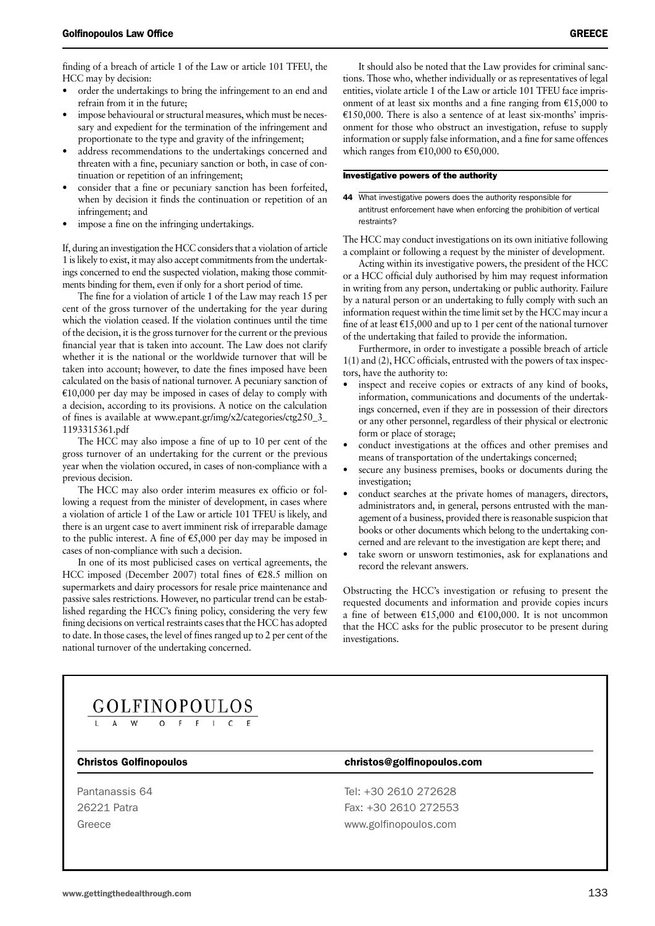finding of a breach of article 1 of the Law or article 101 TFEU, the HCC may by decision:

- order the undertakings to bring the infringement to an end and refrain from it in the future;
- impose behavioural or structural measures, which must be necessary and expedient for the termination of the infringement and proportionate to the type and gravity of the infringement;
- address recommendations to the undertakings concerned and threaten with a fine, pecuniary sanction or both, in case of continuation or repetition of an infringement;
- consider that a fine or pecuniary sanction has been forfeited, when by decision it finds the continuation or repetition of an infringement; and
- impose a fine on the infringing undertakings.

If, during an investigation the HCC considers that a violation of article 1 is likely to exist, it may also accept commitments from the undertakings concerned to end the suspected violation, making those commitments binding for them, even if only for a short period of time.

The fine for a violation of article 1 of the Law may reach 15 per cent of the gross turnover of the undertaking for the year during which the violation ceased. If the violation continues until the time of the decision, it is the gross turnover for the current or the previous financial year that is taken into account. The Law does not clarify whether it is the national or the worldwide turnover that will be taken into account; however, to date the fines imposed have been calculated on the basis of national turnover. A pecuniary sanction of  $E10,000$  per day may be imposed in cases of delay to comply with a decision, according to its provisions. A notice on the calculation of fines is available at www.epant.gr/img/x2/categories/ctg250\_3\_ 1193315361.pdf

The HCC may also impose a fine of up to 10 per cent of the gross turnover of an undertaking for the current or the previous year when the violation occured, in cases of non-compliance with a previous decision.

The HCC may also order interim measures ex officio or following a request from the minister of development, in cases where a violation of article 1 of the Law or article 101 TFEU is likely, and there is an urgent case to avert imminent risk of irreparable damage to the public interest. A fine of  $\epsilon$ 5,000 per day may be imposed in cases of non-compliance with such a decision.

In one of its most publicised cases on vertical agreements, the HCC imposed (December 2007) total fines of  $E28.5$  million on supermarkets and dairy processors for resale price maintenance and passive sales restrictions. However, no particular trend can be established regarding the HCC's fining policy, considering the very few fining decisions on vertical restraints cases that the HCC has adopted to date. In those cases, the level of fines ranged up to 2 per cent of the national turnover of the undertaking concerned.

It should also be noted that the Law provides for criminal sanctions. Those who, whether individually or as representatives of legal entities, violate article 1 of the Law or article 101 TFEU face imprisonment of at least six months and a fine ranging from  $£15,000$  to  $E150,000$ . There is also a sentence of at least six-months' imprisonment for those who obstruct an investigation, refuse to supply information or supply false information, and a fine for same offences which ranges from  $£10,000$  to  $£50,000$ .

# Investigative powers of the authority

44 What investigative powers does the authority responsible for antitrust enforcement have when enforcing the prohibition of vertical restraints?

The HCC may conduct investigations on its own initiative following a complaint or following a request by the minister of development.

Acting within its investigative powers, the president of the HCC or a HCC official duly authorised by him may request information in writing from any person, undertaking or public authority. Failure by a natural person or an undertaking to fully comply with such an information request within the time limit set by the HCC may incur a fine of at least  $\text{\textsterling}15,000$  and up to 1 per cent of the national turnover of the undertaking that failed to provide the information.

Furthermore, in order to investigate a possible breach of article 1(1) and (2), HCC officials, entrusted with the powers of tax inspectors, have the authority to:

- inspect and receive copies or extracts of any kind of books, information, communications and documents of the undertakings concerned, even if they are in possession of their directors or any other personnel, regardless of their physical or electronic form or place of storage;
- conduct investigations at the offices and other premises and means of transportation of the undertakings concerned;
- secure any business premises, books or documents during the investigation;
- conduct searches at the private homes of managers, directors, administrators and, in general, persons entrusted with the management of a business, provided there is reasonable suspicion that books or other documents which belong to the undertaking concerned and are relevant to the investigation are kept there; and
- take sworn or unsworn testimonies, ask for explanations and record the relevant answers.

Obstructing the HCC's investigation or refusing to present the requested documents and information and provide copies incurs a fine of between  $\text{£}15,000$  and  $\text{£}100,000$ . It is not uncommon that the HCC asks for the public prosecutor to be present during investigations.

# **GOLFINOPOULOS**

# Christos Golfinopoulos christos@golfinopoulos.com

Pantanassis 64 Tel: +30 2610 272628 26221 Patra Fax: +30 2610 272553 Greece www.golfinopoulos.com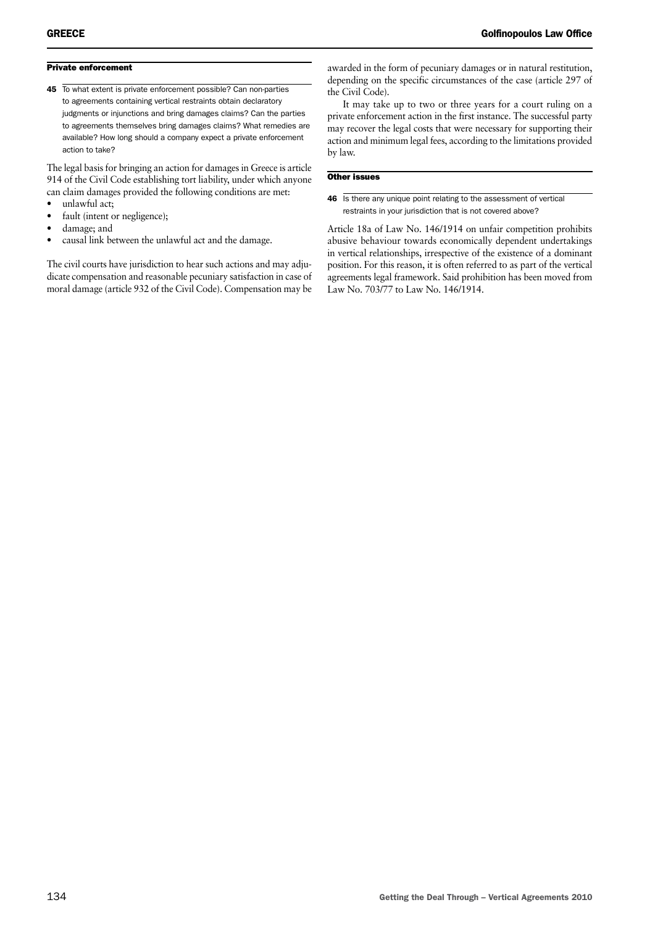# Private enforcement

45 To what extent is private enforcement possible? Can non-parties to agreements containing vertical restraints obtain declaratory judgments or injunctions and bring damages claims? Can the parties to agreements themselves bring damages claims? What remedies are available? How long should a company expect a private enforcement action to take?

The legal basis for bringing an action for damages in Greece is article 914 of the Civil Code establishing tort liability, under which anyone can claim damages provided the following conditions are met:

- unlawful act;
- fault (intent or negligence);
- damage; and
- causal link between the unlawful act and the damage.

The civil courts have jurisdiction to hear such actions and may adjudicate compensation and reasonable pecuniary satisfaction in case of moral damage (article 932 of the Civil Code). Compensation may be awarded in the form of pecuniary damages or in natural restitution, depending on the specific circumstances of the case (article 297 of the Civil Code).

It may take up to two or three years for a court ruling on a private enforcement action in the first instance. The successful party may recover the legal costs that were necessary for supporting their action and minimum legal fees, according to the limitations provided by law.

# Other issues

46 Is there any unique point relating to the assessment of vertical restraints in your jurisdiction that is not covered above?

Article 18a of Law No. 146/1914 on unfair competition prohibits abusive behaviour towards economically dependent undertakings in vertical relationships, irrespective of the existence of a dominant position. For this reason, it is often referred to as part of the vertical agreements legal framework. Said prohibition has been moved from Law No. 703/77 to Law No. 146/1914.